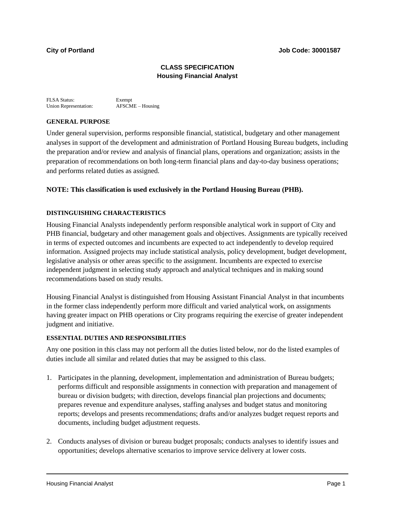## **CLASS SPECIFICATION Housing Financial Analyst**

FLSA Status: Exempt<br>
Union Representation: AFSCME – Housing Union Representation:

# **GENERAL PURPOSE**

Under general supervision, performs responsible financial, statistical, budgetary and other management analyses in support of the development and administration of Portland Housing Bureau budgets, including the preparation and/or review and analysis of financial plans, operations and organization; assists in the preparation of recommendations on both long-term financial plans and day-to-day business operations; and performs related duties as assigned.

# **NOTE: This classification is used exclusively in the Portland Housing Bureau (PHB).**

## **DISTINGUISHING CHARACTERISTICS**

Housing Financial Analysts independently perform responsible analytical work in support of City and PHB financial, budgetary and other management goals and objectives. Assignments are typically received in terms of expected outcomes and incumbents are expected to act independently to develop required information. Assigned projects may include statistical analysis, policy development, budget development, legislative analysis or other areas specific to the assignment. Incumbents are expected to exercise independent judgment in selecting study approach and analytical techniques and in making sound recommendations based on study results.

Housing Financial Analyst is distinguished from Housing Assistant Financial Analyst in that incumbents in the former class independently perform more difficult and varied analytical work, on assignments having greater impact on PHB operations or City programs requiring the exercise of greater independent judgment and initiative.

#### **ESSENTIAL DUTIES AND RESPONSIBILITIES**

Any one position in this class may not perform all the duties listed below, nor do the listed examples of duties include all similar and related duties that may be assigned to this class.

- 1. Participates in the planning, development, implementation and administration of Bureau budgets; performs difficult and responsible assignments in connection with preparation and management of bureau or division budgets; with direction, develops financial plan projections and documents; prepares revenue and expenditure analyses, staffing analyses and budget status and monitoring reports; develops and presents recommendations; drafts and/or analyzes budget request reports and documents, including budget adjustment requests.
- 2. Conducts analyses of division or bureau budget proposals; conducts analyses to identify issues and opportunities; develops alternative scenarios to improve service delivery at lower costs.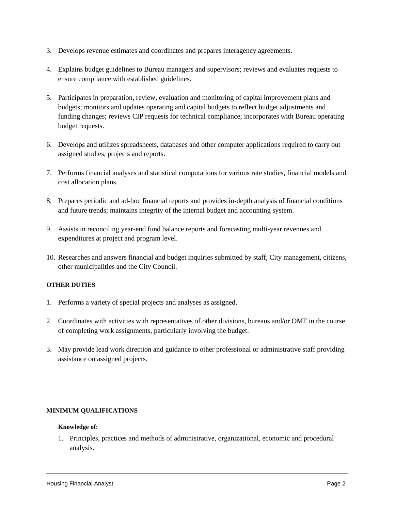- 3. Develops revenue estimates and coordinates and prepares interagency agreements.
- 4. Explains budget guidelines to Bureau managers and supervisors; reviews and evaluates requests to ensure compliance with established guidelines.
- 5. Participates in preparation, review, evaluation and monitoring of capital improvement plans and budgets; monitors and updates operating and capital budgets to reflect budget adjustments and funding changes; reviews CIP requests for technical compliance; incorporates with Bureau operating budget requests.
- 6. Develops and utilizes spreadsheets, databases and other computer applications required to carry out assigned studies, projects and reports.
- 7. Performs financial analyses and statistical computations for various rate studies, financial models and cost allocation plans.
- 8. Prepares periodic and ad-hoc financial reports and provides in-depth analysis of financial conditions and future trends; maintains integrity of the internal budget and accounting system.
- 9. Assists in reconciling year-end fund balance reports and forecasting multi-year revenues and expenditures at project and program level.
- 10. Researches and answers financial and budget inquiries submitted by staff, City management, citizens, other municipalities and the City Council.

#### **OTHER DUTIES**

- 1. Performs a variety of special projects and analyses as assigned.
- 2. Coordinates with activities with representatives of other divisions, bureaus and/or OMF in the course of completing work assignments, particularly involving the budget.
- 3. May provide lead work direction and guidance to other professional or administrative staff providing assistance on assigned projects.

#### **MINIMUM QUALIFICATIONS**

#### **Knowledge of:**

1. Principles, practices and methods of administrative, organizational, economic and procedural analysis.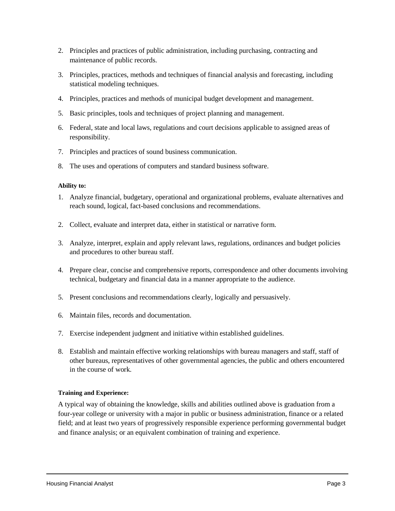- 2. Principles and practices of public administration, including purchasing, contracting and maintenance of public records.
- 3. Principles, practices, methods and techniques of financial analysis and forecasting, including statistical modeling techniques.
- 4. Principles, practices and methods of municipal budget development and management.
- 5. Basic principles, tools and techniques of project planning and management.
- 6. Federal, state and local laws, regulations and court decisions applicable to assigned areas of responsibility.
- 7. Principles and practices of sound business communication.
- 8. The uses and operations of computers and standard business software.

### **Ability to:**

- 1. Analyze financial, budgetary, operational and organizational problems, evaluate alternatives and reach sound, logical, fact-based conclusions and recommendations.
- 2. Collect, evaluate and interpret data, either in statistical or narrative form.
- 3. Analyze, interpret, explain and apply relevant laws, regulations, ordinances and budget policies and procedures to other bureau staff.
- 4. Prepare clear, concise and comprehensive reports, correspondence and other documents involving technical, budgetary and financial data in a manner appropriate to the audience.
- 5. Present conclusions and recommendations clearly, logically and persuasively.
- 6. Maintain files, records and documentation.
- 7. Exercise independent judgment and initiative within established guidelines.
- 8. Establish and maintain effective working relationships with bureau managers and staff, staff of other bureaus, representatives of other governmental agencies, the public and others encountered in the course of work.

## **Training and Experience:**

A typical way of obtaining the knowledge, skills and abilities outlined above is graduation from a four-year college or university with a major in public or business administration, finance or a related field; and at least two years of progressively responsible experience performing governmental budget and finance analysis; or an equivalent combination of training and experience.